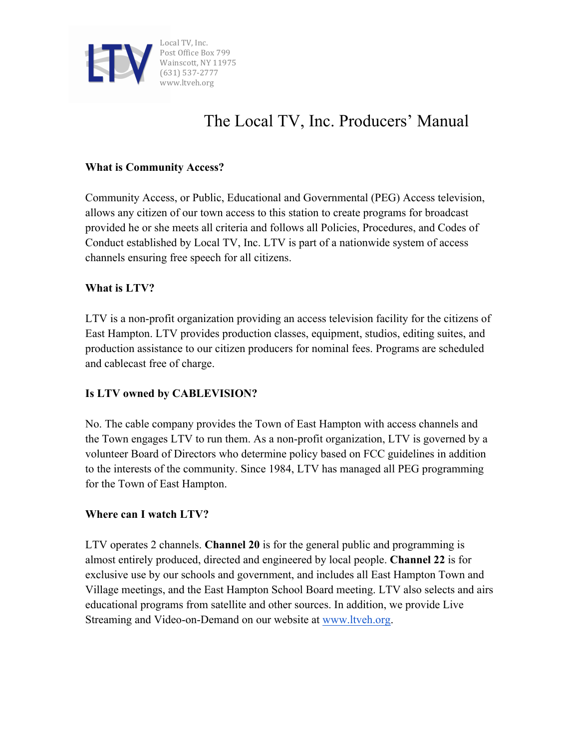

#### **What is Community Access?**

Community Access, or Public, Educational and Governmental (PEG) Access television, allows any citizen of our town access to this station to create programs for broadcast provided he or she meets all criteria and follows all Policies, Procedures, and Codes of Conduct established by Local TV, Inc. LTV is part of a nationwide system of access channels ensuring free speech for all citizens.

#### **What is LTV?**

LTV is a non-profit organization providing an access television facility for the citizens of East Hampton. LTV provides production classes, equipment, studios, editing suites, and production assistance to our citizen producers for nominal fees. Programs are scheduled and cablecast free of charge.

### **Is LTV owned by CABLEVISION?**

No. The cable company provides the Town of East Hampton with access channels and the Town engages LTV to run them. As a non-profit organization, LTV is governed by a volunteer Board of Directors who determine policy based on FCC guidelines in addition to the interests of the community. Since 1984, LTV has managed all PEG programming for the Town of East Hampton.

#### **Where can I watch LTV?**

LTV operates 2 channels. **Channel 20** is for the general public and programming is almost entirely produced, directed and engineered by local people. **Channel 22** is for exclusive use by our schools and government, and includes all East Hampton Town and Village meetings, and the East Hampton School Board meeting. LTV also selects and airs educational programs from satellite and other sources. In addition, we provide Live Streaming and Video-on-Demand on our website at www.ltveh.org.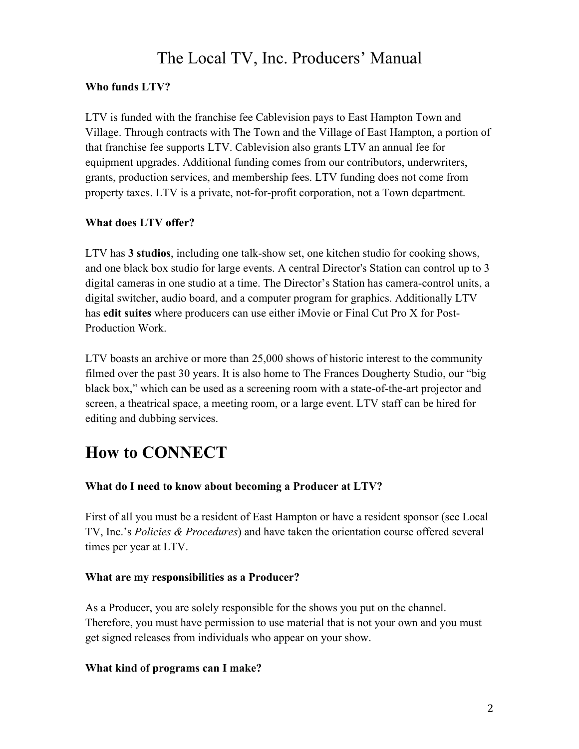### **Who funds LTV?**

LTV is funded with the franchise fee Cablevision pays to East Hampton Town and Village. Through contracts with The Town and the Village of East Hampton, a portion of that franchise fee supports LTV. Cablevision also grants LTV an annual fee for equipment upgrades. Additional funding comes from our contributors, underwriters, grants, production services, and membership fees. LTV funding does not come from property taxes. LTV is a private, not-for-profit corporation, not a Town department.

### **What does LTV offer?**

LTV has **3 studios**, including one talk-show set, one kitchen studio for cooking shows, and one black box studio for large events. A central Director's Station can control up to 3 digital cameras in one studio at a time. The Director's Station has camera-control units, a digital switcher, audio board, and a computer program for graphics. Additionally LTV has **edit suites** where producers can use either iMovie or Final Cut Pro X for Post-Production Work.

LTV boasts an archive or more than 25,000 shows of historic interest to the community filmed over the past 30 years. It is also home to The Frances Dougherty Studio, our "big black box," which can be used as a screening room with a state-of-the-art projector and screen, a theatrical space, a meeting room, or a large event. LTV staff can be hired for editing and dubbing services.

# **How to CONNECT**

### **What do I need to know about becoming a Producer at LTV?**

First of all you must be a resident of East Hampton or have a resident sponsor (see Local TV, Inc.'s *Policies & Procedures*) and have taken the orientation course offered several times per year at LTV.

### **What are my responsibilities as a Producer?**

As a Producer, you are solely responsible for the shows you put on the channel. Therefore, you must have permission to use material that is not your own and you must get signed releases from individuals who appear on your show.

### **What kind of programs can I make?**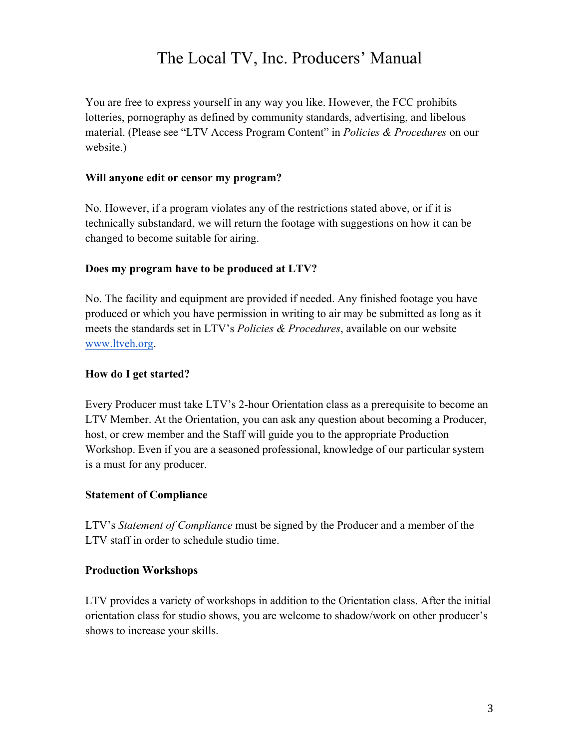You are free to express yourself in any way you like. However, the FCC prohibits lotteries, pornography as defined by community standards, advertising, and libelous material. (Please see "LTV Access Program Content" in *Policies & Procedures* on our website.)

### **Will anyone edit or censor my program?**

No. However, if a program violates any of the restrictions stated above, or if it is technically substandard, we will return the footage with suggestions on how it can be changed to become suitable for airing.

### **Does my program have to be produced at LTV?**

No. The facility and equipment are provided if needed. Any finished footage you have produced or which you have permission in writing to air may be submitted as long as it meets the standards set in LTV's *Policies & Procedures*, available on our website www.ltveh.org.

#### **How do I get started?**

Every Producer must take LTV's 2-hour Orientation class as a prerequisite to become an LTV Member. At the Orientation, you can ask any question about becoming a Producer, host, or crew member and the Staff will guide you to the appropriate Production Workshop. Even if you are a seasoned professional, knowledge of our particular system is a must for any producer.

#### **Statement of Compliance**

LTV's *Statement of Compliance* must be signed by the Producer and a member of the LTV staff in order to schedule studio time.

#### **Production Workshops**

LTV provides a variety of workshops in addition to the Orientation class. After the initial orientation class for studio shows, you are welcome to shadow/work on other producer's shows to increase your skills.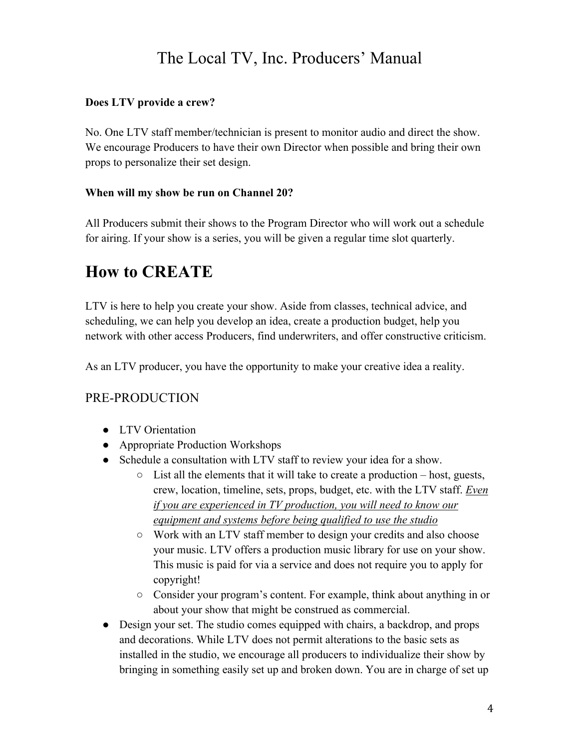### **Does LTV provide a crew?**

No. One LTV staff member/technician is present to monitor audio and direct the show. We encourage Producers to have their own Director when possible and bring their own props to personalize their set design.

### **When will my show be run on Channel 20?**

All Producers submit their shows to the Program Director who will work out a schedule for airing. If your show is a series, you will be given a regular time slot quarterly.

### **How to CREATE**

LTV is here to help you create your show. Aside from classes, technical advice, and scheduling, we can help you develop an idea, create a production budget, help you network with other access Producers, find underwriters, and offer constructive criticism.

As an LTV producer, you have the opportunity to make your creative idea a reality.

### PRE-PRODUCTION

- LTV Orientation
- Appropriate Production Workshops
- Schedule a consultation with LTV staff to review your idea for a show.
	- $\circ$  List all the elements that it will take to create a production host, guests, crew, location, timeline, sets, props, budget, etc. with the LTV staff. *Even if you are experienced in TV production, you will need to know our equipment and systems before being qualified to use the studio*
	- Work with an LTV staff member to design your credits and also choose your music. LTV offers a production music library for use on your show. This music is paid for via a service and does not require you to apply for copyright!
	- Consider your program's content. For example, think about anything in or about your show that might be construed as commercial.
- Design your set. The studio comes equipped with chairs, a backdrop, and props and decorations. While LTV does not permit alterations to the basic sets as installed in the studio, we encourage all producers to individualize their show by bringing in something easily set up and broken down. You are in charge of set up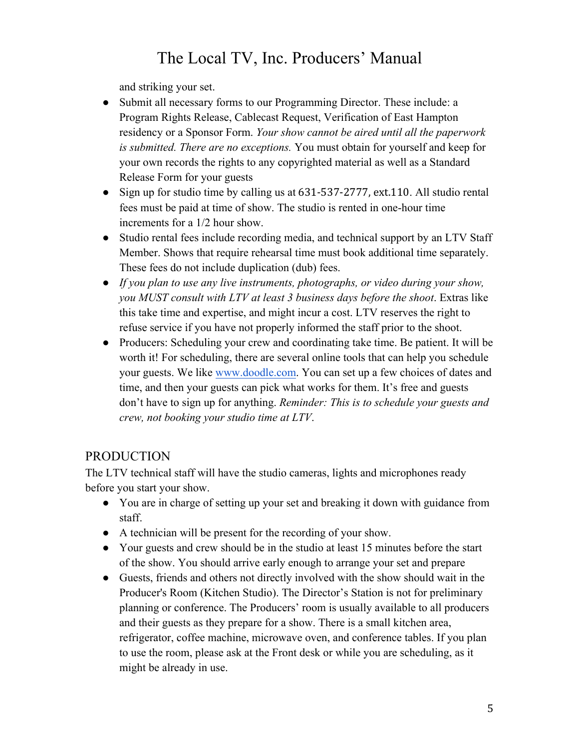and striking your set.

- Submit all necessary forms to our Programming Director. These include: a Program Rights Release, Cablecast Request, Verification of East Hampton residency or a Sponsor Form. *Your show cannot be aired until all the paperwork is submitted. There are no exceptions.* You must obtain for yourself and keep for your own records the rights to any copyrighted material as well as a Standard Release Form for your guests
- Sign up for studio time by calling us at 631-537-2777, ext.110. All studio rental fees must be paid at time of show. The studio is rented in one-hour time increments for a 1/2 hour show.
- Studio rental fees include recording media, and technical support by an LTV Staff Member. Shows that require rehearsal time must book additional time separately. These fees do not include duplication (dub) fees.
- *If you plan to use any live instruments, photographs, or video during your show, you MUST consult with LTV at least 3 business days before the shoot*. Extras like this take time and expertise, and might incur a cost. LTV reserves the right to refuse service if you have not properly informed the staff prior to the shoot.
- Producers: Scheduling your crew and coordinating take time. Be patient. It will be worth it! For scheduling, there are several online tools that can help you schedule your guests. We like www.doodle.com. You can set up a few choices of dates and time, and then your guests can pick what works for them. It's free and guests don't have to sign up for anything. *Reminder: This is to schedule your guests and crew, not booking your studio time at LTV*.

### PRODUCTION

The LTV technical staff will have the studio cameras, lights and microphones ready before you start your show.

- You are in charge of setting up your set and breaking it down with guidance from staff.
- A technician will be present for the recording of your show.
- Your guests and crew should be in the studio at least 15 minutes before the start of the show. You should arrive early enough to arrange your set and prepare
- Guests, friends and others not directly involved with the show should wait in the Producer's Room (Kitchen Studio). The Director's Station is not for preliminary planning or conference. The Producers' room is usually available to all producers and their guests as they prepare for a show. There is a small kitchen area, refrigerator, coffee machine, microwave oven, and conference tables. If you plan to use the room, please ask at the Front desk or while you are scheduling, as it might be already in use.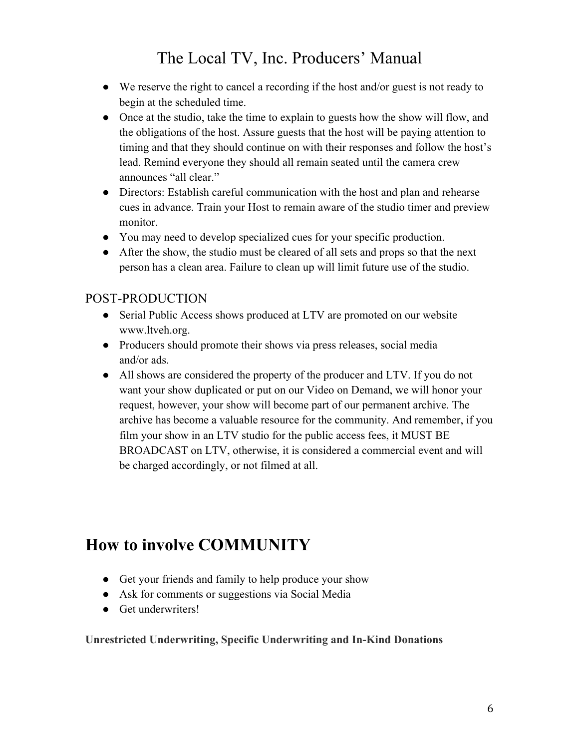- We reserve the right to cancel a recording if the host and/or guest is not ready to begin at the scheduled time.
- Once at the studio, take the time to explain to guests how the show will flow, and the obligations of the host. Assure guests that the host will be paying attention to timing and that they should continue on with their responses and follow the host's lead. Remind everyone they should all remain seated until the camera crew announces "all clear."
- Directors: Establish careful communication with the host and plan and rehearse cues in advance. Train your Host to remain aware of the studio timer and preview monitor.
- You may need to develop specialized cues for your specific production.
- After the show, the studio must be cleared of all sets and props so that the next person has a clean area. Failure to clean up will limit future use of the studio.

### POST-PRODUCTION

- Serial Public Access shows produced at LTV are promoted on our website www.ltveh.org.
- Producers should promote their shows via press releases, social media and/or ads.
- All shows are considered the property of the producer and LTV. If you do not want your show duplicated or put on our Video on Demand, we will honor your request, however, your show will become part of our permanent archive. The archive has become a valuable resource for the community. And remember, if you film your show in an LTV studio for the public access fees, it MUST BE BROADCAST on LTV, otherwise, it is considered a commercial event and will be charged accordingly, or not filmed at all.

# **How to involve COMMUNITY**

- Get your friends and family to help produce your show
- Ask for comments or suggestions via Social Media
- Get underwriters!

**Unrestricted Underwriting, Specific Underwriting and In-Kind Donations**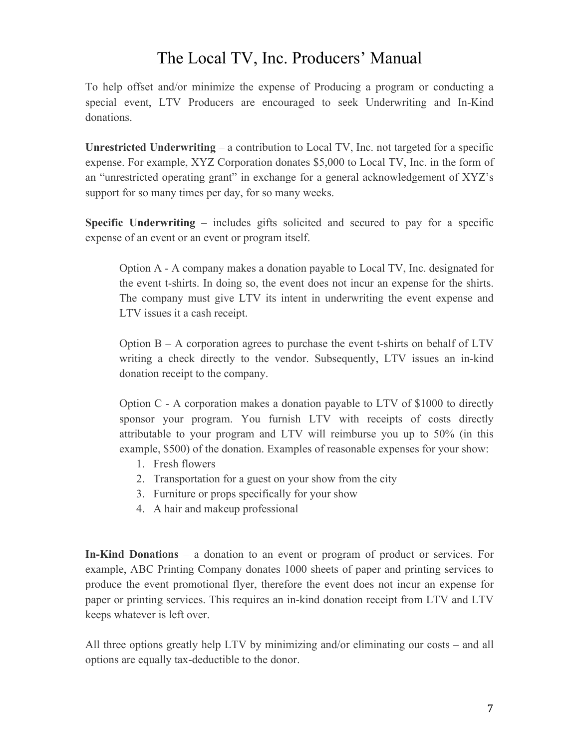To help offset and/or minimize the expense of Producing a program or conducting a special event, LTV Producers are encouraged to seek Underwriting and In-Kind donations.

**Unrestricted Underwriting** – a contribution to Local TV, Inc. not targeted for a specific expense. For example, XYZ Corporation donates \$5,000 to Local TV, Inc. in the form of an "unrestricted operating grant" in exchange for a general acknowledgement of XYZ's support for so many times per day, for so many weeks.

**Specific Underwriting** – includes gifts solicited and secured to pay for a specific expense of an event or an event or program itself.

Option A - A company makes a donation payable to Local TV, Inc. designated for the event t-shirts. In doing so, the event does not incur an expense for the shirts. The company must give LTV its intent in underwriting the event expense and LTV issues it a cash receipt.

Option  $B - A$  corporation agrees to purchase the event t-shirts on behalf of  $LTV$ writing a check directly to the vendor. Subsequently, LTV issues an in-kind donation receipt to the company.

Option C - A corporation makes a donation payable to LTV of \$1000 to directly sponsor your program. You furnish LTV with receipts of costs directly attributable to your program and LTV will reimburse you up to 50% (in this example, \$500) of the donation. Examples of reasonable expenses for your show:

- 1. Fresh flowers
- 2. Transportation for a guest on your show from the city
- 3. Furniture or props specifically for your show
- 4. A hair and makeup professional

**In-Kind Donations** – a donation to an event or program of product or services. For example, ABC Printing Company donates 1000 sheets of paper and printing services to produce the event promotional flyer, therefore the event does not incur an expense for paper or printing services. This requires an in-kind donation receipt from LTV and LTV keeps whatever is left over.

All three options greatly help LTV by minimizing and/or eliminating our costs – and all options are equally tax-deductible to the donor.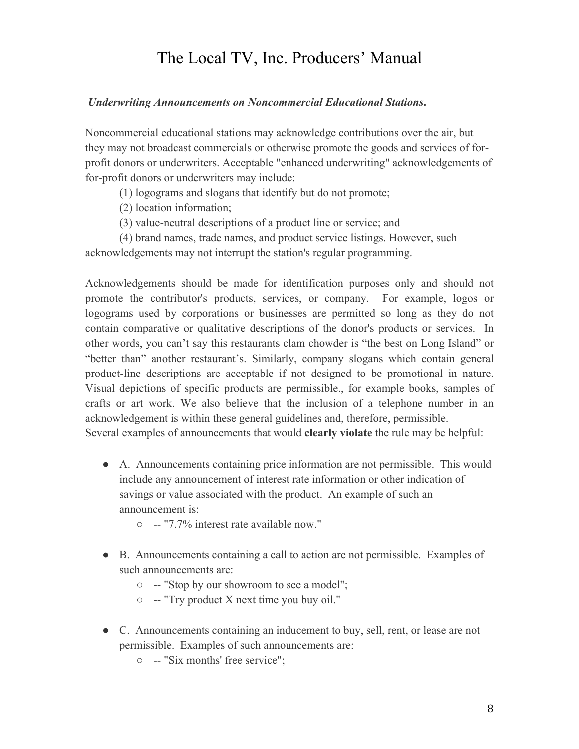#### *Underwriting Announcements on Noncommercial Educational Stations***.**

Noncommercial educational stations may acknowledge contributions over the air, but they may not broadcast commercials or otherwise promote the goods and services of forprofit donors or underwriters. Acceptable "enhanced underwriting" acknowledgements of for-profit donors or underwriters may include:

- (1) logograms and slogans that identify but do not promote;
- (2) location information;
- (3) value-neutral descriptions of a product line or service; and

(4) brand names, trade names, and product service listings. However, such acknowledgements may not interrupt the station's regular programming.

Acknowledgements should be made for identification purposes only and should not promote the contributor's products, services, or company. For example, logos or logograms used by corporations or businesses are permitted so long as they do not contain comparative or qualitative descriptions of the donor's products or services. In other words, you can't say this restaurants clam chowder is "the best on Long Island" or "better than" another restaurant's. Similarly, company slogans which contain general product-line descriptions are acceptable if not designed to be promotional in nature. Visual depictions of specific products are permissible., for example books, samples of crafts or art work. We also believe that the inclusion of a telephone number in an acknowledgement is within these general guidelines and, therefore, permissible. Several examples of announcements that would **clearly violate** the rule may be helpful:

- A. Announcements containing price information are not permissible. This would include any announcement of interest rate information or other indication of savings or value associated with the product. An example of such an announcement is:
	- -- "7.7% interest rate available now."
- B. Announcements containing a call to action are not permissible. Examples of such announcements are:
	- -- "Stop by our showroom to see a model";
	- -- "Try product X next time you buy oil."
- C. Announcements containing an inducement to buy, sell, rent, or lease are not permissible. Examples of such announcements are:
	- -- "Six months' free service";